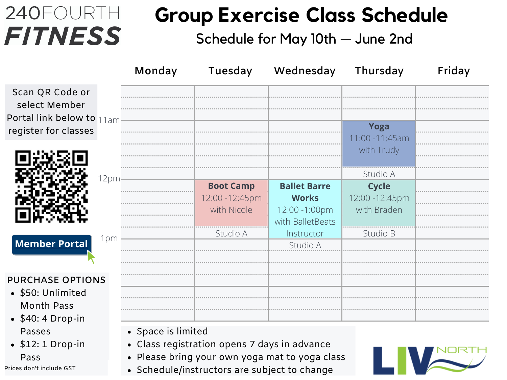## 240FOURTH **FITNESS**

### **Group Exercise Class Schedule**

Schedule for May 10th — June 2nd

|                                                                                                                                                                           | Monday             | Tuesday                                                                                      | Wednesday                                                                                          | Thursday                                                               | Friday |
|---------------------------------------------------------------------------------------------------------------------------------------------------------------------------|--------------------|----------------------------------------------------------------------------------------------|----------------------------------------------------------------------------------------------------|------------------------------------------------------------------------|--------|
| Scan QR Code or<br>select Member<br>Portal link below to 11am<br>register for classes                                                                                     |                    |                                                                                              |                                                                                                    | Yoga<br>11:00 -11:45am                                                 |        |
|                                                                                                                                                                           |                    |                                                                                              |                                                                                                    | with Trudy                                                             |        |
| 12pm<br>1pm<br><b>Member Portal</b>                                                                                                                                       |                    | <b>Boot Camp</b><br>12:00 - 12:45pm<br>with Nicole<br>Studio A                               | <b>Ballet Barre</b><br><b>Works</b><br>12:00 -1:00pm<br>with BalletBeats<br>Instructor<br>Studio A | Studio A<br><b>Cycle</b><br>12:00 - 12:45pm<br>with Braden<br>Studio B |        |
| <b>PURCHASE OPTIONS</b><br>• \$50: Unlimited<br><b>Month Pass</b><br>$\bullet$ \$40: 4 Drop-in<br>Passes<br>$\bullet$ \$12: 1 Drop-in<br>Pass<br>Prices don't include GST | • Space is limited | • Class registration opens 7 days in advance<br>• Schedule/instructors are subject to change | • Please bring your own yoga mat to yoga class                                                     |                                                                        |        |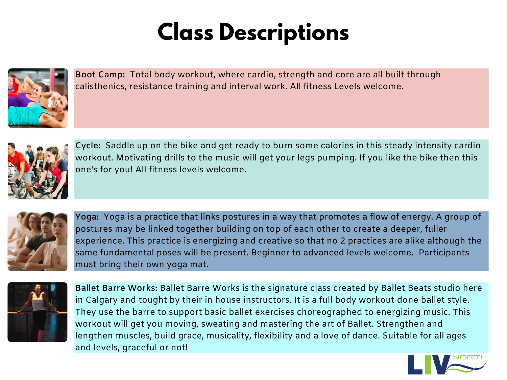## **Class Descriptions**



**Boot Camp:** Total body workout, where cardio, strength and core are all built through calisthenics, resistance training and interval work. All fitness Levels welcome.



**Cycle:** Saddle up on the bike and get ready to burn some calories in this steady intensity cardio workout. Motivating drills to the music will get your legs pumping. If you like the bike then this one's for you! All fitness levels welcome.



**Yoga:** Yoga is a practice that links postures in a way that promotes a flow of energy. A group of postures may be linked together building on top of each other to create a deeper, fuller experience. This practice is energizing and creative so that no 2 practices are alike although the same fundamental poses will be present. Beginner to advanced levels welcome. Participants must bring their own yoga mat.



**Ballet Barre Works:** Ballet Barre Works is the signature class created by Ballet Beats studio here in Calgary and tought by their in house instructors. It is a full body workout done ballet style. They use the barre to support basic ballet exercises choreographed to energizing music. This workout will get you moving, sweating and mastering the art of Ballet. Strengthen and lengthen muscles, build grace, musicality, flexibility and a love of dance. Suitable for all ages and levels, graceful or not!